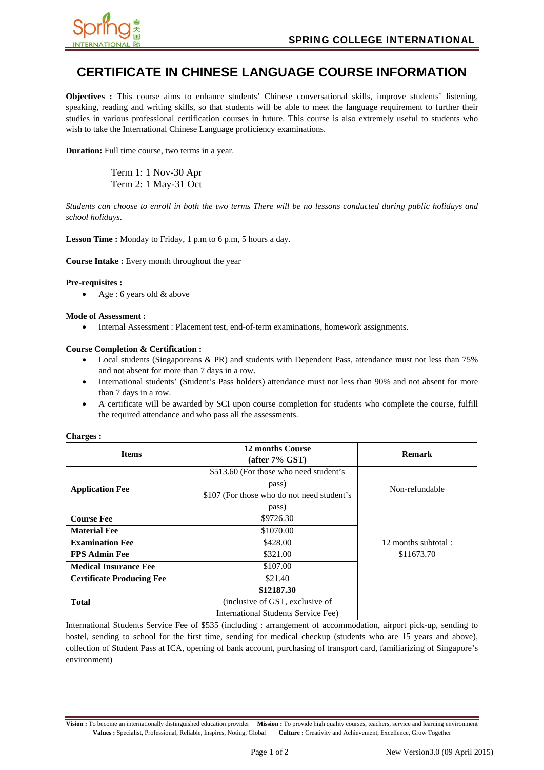

# **CERTIFICATE IN CHINESE LANGUAGE COURSE INFORMATION**

**Objectives :** This course aims to enhance students' Chinese conversational skills, improve students' listening, speaking, reading and writing skills, so that students will be able to meet the language requirement to further their studies in various professional certification courses in future. This course is also extremely useful to students who wish to take the International Chinese Language proficiency examinations.

**Duration:** Full time course, two terms in a year.

 Term 1: 1 Nov-30 Apr Term 2: 1 May-31 Oct

*Students can choose to enroll in both the two terms There will be no lessons conducted during public holidays and school holidays.* 

**Lesson Time :** Monday to Friday, 1 p.m to 6 p.m, 5 hours a day.

**Course Intake :** Every month throughout the year

# **Pre-requisites :**

Age : 6 years old & above

# **Mode of Assessment :**

Internal Assessment : Placement test, end-of-term examinations, homework assignments.

# **Course Completion & Certification :**

- Local students (Singaporeans & PR) and students with Dependent Pass, attendance must not less than 75% and not absent for more than 7 days in a row.
- International students' (Student's Pass holders) attendance must not less than 90% and not absent for more than 7 days in a row.
- A certificate will be awarded by SCI upon course completion for students who complete the course, fulfill the required attendance and who pass all the assessments.

| <b>Items</b>                     | <b>12 months Course</b>                    | <b>Remark</b>                     |
|----------------------------------|--------------------------------------------|-----------------------------------|
|                                  | (after 7% GST)                             |                                   |
| <b>Application Fee</b>           | \$513.60 (For those who need student's     | Non-refundable                    |
|                                  | pass)                                      |                                   |
|                                  | \$107 (For those who do not need student's |                                   |
|                                  | pass)                                      |                                   |
| <b>Course Fee</b>                | \$9726.30                                  | 12 months subtotal:<br>\$11673.70 |
| <b>Material Fee</b>              | \$1070.00                                  |                                   |
| <b>Examination Fee</b>           | \$428.00                                   |                                   |
| <b>FPS Admin Fee</b>             | \$321.00                                   |                                   |
| <b>Medical Insurance Fee</b>     | \$107.00                                   |                                   |
| <b>Certificate Producing Fee</b> | \$21.40                                    |                                   |
|                                  | \$12187.30                                 |                                   |
| <b>Total</b>                     | (inclusive of GST, exclusive of            |                                   |
|                                  | International Students Service Fee)        |                                   |

#### **Charges :**

International Students Service Fee of \$535 (including : arrangement of accommodation, airport pick-up, sending to hostel, sending to school for the first time, sending for medical checkup (students who are 15 years and above), collection of Student Pass at ICA, opening of bank account, purchasing of transport card, familiarizing of Singapore's environment)

**Vision :** To become an internationally distinguished education provider **Mission :** To provide high quality courses, teachers, service and learning environment **Values :** Specialist, Professional, Reliable, Inspires, Noting, Global **Culture :** Creativity and Achievement, Excellence, Grow Together